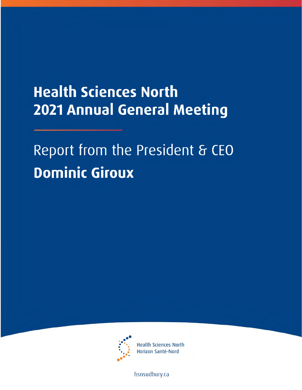## **Health Sciences North 2021 Annual General Meeting**

## Report from the President & CEO **Dominic Giroux**



**Health Sciences North** Horizon Santé-Nord

[hsnsudbury.ca](www.hsnsudbury.ca)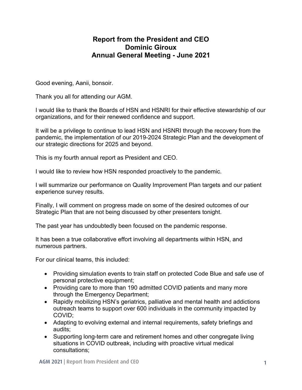## **Annual General Meeting - June 2021 Report from the President and CEO Dominic Giroux**

Good evening, Aanii, bonsoir.

Thank you all for attending our AGM.

I would like to thank the Boards of HSN and HSNRI for their effective stewardship of our organizations, and for their renewed confidence and support.

It will be a privilege to continue to lead HSN and HSNRI through the recovery from the pandemic, the implementation of our 2019-2024 Strategic Plan and the development of our strategic directions for 2025 and beyond.

This is my fourth annual report as President and CEO.

I would like to review how HSN responded proactively to the pandemic.

I will summarize our performance on Quality Improvement Plan targets and our patient experience survey results.

 Finally, I will comment on progress made on some of the desired outcomes of our Strategic Plan that are not being discussed by other presenters tonight.

The past year has undoubtedly been focused on the pandemic response.

It has been a true collaborative effort involving all departments within HSN, and numerous partners.

For our clinical teams, this included:

- Providing simulation events to train staff on protected Code Blue and safe use of personal protective equipment;
- • Providing care to more than 190 admitted COVID patients and many more through the Emergency Department;
- Rapidly mobilizing HSN's geriatrics, palliative and mental health and addictions outreach teams to support over 600 individuals in the community impacted by COVID;
- Adapting to evolving external and internal requirements, safety briefings and audits;
- Supporting long-term care and retirement homes and other congregate living situations in COVID outbreak, including with proactive virtual medical consultations;

AGM 2021 | Report from President and CEO 1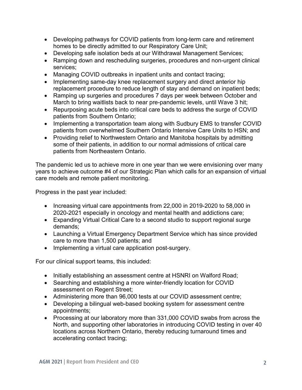- Developing pathways for COVID patients from long-term care and retirement homes to be directly admitted to our Respiratory Care Unit;
- Developing safe isolation beds at our Withdrawal Management Services;
- Ramping down and rescheduling surgeries, procedures and non-urgent clinical services;
- Managing COVID outbreaks in inpatient units and contact tracing;
- Implementing same-day knee replacement surgery and direct anterior hip replacement procedure to reduce length of stay and demand on inpatient beds;
- Ramping up surgeries and procedures 7 days per week between October and March to bring waitlists back to near pre-pandemic levels, until Wave 3 hit;
- Repurposing acute beds into critical care beds to address the surge of COVID patients from Southern Ontario;
- patients from overwhelmed Southern Ontario Intensive Care Units to HSN; and • Implementing a transportation team along with Sudbury EMS to transfer COVID
- some of their patients, in addition to our normal admissions of critical care • Providing relief to Northwestern Ontario and Manitoba hospitals by admitting patients from Northeastern Ontario.

 years to achieve outcome #4 of our Strategic Plan which calls for an expansion of virtual The pandemic led us to achieve more in one year than we were envisioning over many care models and remote patient monitoring.

Progress in the past year included:

- Increasing virtual care appointments from 22,000 in 2019-2020 to 58,000 in 2020-2021 especially in oncology and mental health and addictions care;
- Expanding Virtual Critical Care to a second studio to support regional surge demands;
- Launching a Virtual Emergency Department Service which has since provided care to more than 1,500 patients; and
- Implementing a virtual care application post-surgery.

For our clinical support teams, this included:

- Initially establishing an assessment centre at HSNRI on Walford Road;
- Searching and establishing a more winter-friendly location for COVID assessment on Regent Street;
- Administering more than 96,000 tests at our COVID assessment centre;
- Developing a bilingual web-based booking system for assessment centre appointments;
- Processing at our laboratory more than 331,000 COVID swabs from across the North, and supporting other laboratories in introducing COVID testing in over 40 locations across Northern Ontario, thereby reducing turnaround times and accelerating contact tracing;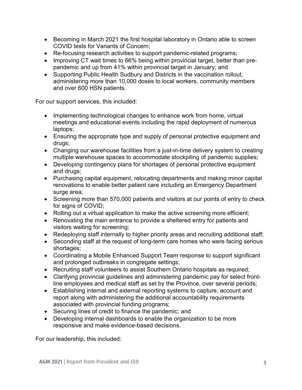- • Becoming in March 2021 the first hospital laboratory in Ontario able to screen COVID tests for Variants of Concern;
- Re-focusing research activities to support pandemic-related programs;
- Improving CT wait times to 66% being within provincial target, better than prepandemic and up from 41% within provincial target in January; and
- Supporting Public Health Sudbury and Districts in the vaccination rollout, administering more than 10,000 doses to local workers, community members and over 600 HSN patients.

For our support services, this included:

- meetings and educational events including the rapid deployment of numerous • Implementing technological changes to enhance work from home, virtual laptops;
- • Ensuring the appropriate type and supply of personal protective equipment and drugs;
- • Changing our warehouse facilities from a just-in-time delivery system to creating multiple warehouse spaces to accommodate stockpiling of pandemic supplies;
- Developing contingency plans for shortages of personal protective equipment and drugs;
- Purchasing capital equipment, relocating departments and making minor capital renovations to enable better patient care including an Emergency Department surge area;
- Screening more than 570,000 patients and visitors at our points of entry to check for signs of COVID;
- Rolling out a virtual application to make the active screening more efficient;
- Renovating the main entrance to provide a sheltered entry for patients and visitors waiting for screening;
- Redeploying staff internally to higher priority areas and recruiting additional staff;
- Seconding staff at the request of long-term care homes who were facing serious shortages;
- Coordinating a Mobile Enhanced Support Team response to support significant and prolonged outbreaks in congregate settings;
- Recruiting staff volunteers to assist Southern Ontario hospitals as required;
- • Clarifying provincial guidelines and administering pandemic pay for select frontline employees and medical staff as set by the Province, over several periods;
- Establishing internal and external reporting systems to capture, account and report along with administering the additional accountability requirements associated with provincial funding programs;
- Securing lines of credit to finance the pandemic; and
- Developing internal dashboards to enable the organization to be more responsive and make evidence-based decisions.

For our leadership, this included: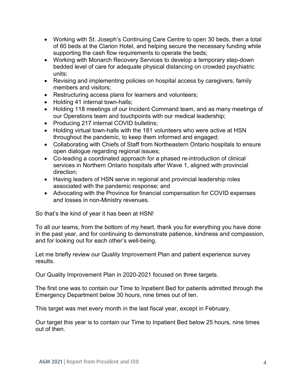- Working with St. Joseph's Continuing Care Centre to open 30 beds, then a total of 60 beds at the Clarion Hotel, and helping secure the necessary funding while supporting the cash flow requirements to operate the beds;
- Working with Monarch Recovery Services to develop a temporary step-down bedded level of care for adequate physical distancing on crowded psychiatric units;
- • Revising and implementing policies on hospital access by caregivers, family members and visitors;
- Restructuring access plans for learners and volunteers;
- Holding 41 internal town-halls;
- • Holding 118 meetings of our Incident Command team, and as many meetings of our Operations team and touchpoints with our medical leadership;
- Producing 217 internal COVID bulletins;
- Holding virtual town-halls with the 181 volunteers who were active at HSN throughout the pandemic, to keep them informed and engaged;
- Collaborating with Chiefs of Staff from Northeastern Ontario hospitals to ensure open dialogue regarding regional issues;
- Co-leading a coordinated approach for a phased re-introduction of clinical services in Northern Ontario hospitals after Wave 1, aligned with provincial direction;
- Having leaders of HSN serve in regional and provincial leadership roles associated with the pandemic response; and
- Advocating with the Province for financial compensation for COVID expenses and losses in non-Ministry revenues.

So that's the kind of year it has been at HSN!

 To all our teams, from the bottom of my heart, thank you for everything you have done in the past year, and for continuing to demonstrate patience, kindness and compassion, and for looking out for each other's well-being.

Let me briefly review our Quality Improvement Plan and patient experience survey results.

Our Quality Improvement Plan in 2020-2021 focused on three targets.

The first one was to contain our Time to Inpatient Bed for patients admitted through the Emergency Department below 30 hours, nine times out of ten.

This target was met every month in the last fiscal year, except in February.

 Our target this year is to contain our Time to Inpatient Bed below 25 hours, nine times out of then.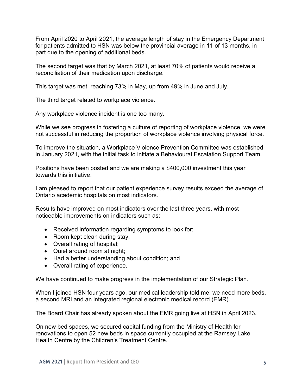From April 2020 to April 2021, the average length of stay in the Emergency Department for patients admitted to HSN was below the provincial average in 11 of 13 months, in part due to the opening of additional beds.

The second target was that by March 2021, at least 70% of patients would receive a reconciliation of their medication upon discharge.

This target was met, reaching 73% in May, up from 49% in June and July.

The third target related to workplace violence.

Any workplace violence incident is one too many.

While we see progress in fostering a culture of reporting of workplace violence, we were not successful in reducing the proportion of workplace violence involving physical force.

To improve the situation, a Workplace Violence Prevention Committee was established in January 2021, with the initial task to initiate a Behavioural Escalation Support Team.

 Positions have been posted and we are making a \$400,000 investment this year towards this initiative.

I am pleased to report that our patient experience survey results exceed the average of Ontario academic hospitals on most indicators.

Results have improved on most indicators over the last three years, with most noticeable improvements on indicators such as:

- Received information regarding symptoms to look for;
- Room kept clean during stay;
- Overall rating of hospital;
- Quiet around room at night;
- Had a better understanding about condition; and
- Overall rating of experience.

We have continued to make progress in the implementation of our Strategic Plan.

When I joined HSN four years ago, our medical leadership told me: we need more beds, a second MRI and an integrated regional electronic medical record (EMR).

The Board Chair has already spoken about the EMR going live at HSN in April 2023.

On new bed spaces, we secured capital funding from the Ministry of Health for renovations to open 52 new beds in space currently occupied at the Ramsey Lake Health Centre by the Children's Treatment Centre.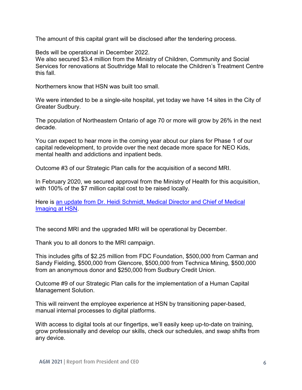The amount of this capital grant will be disclosed after the tendering process.

Beds will be operational in December 2022.

We also secured \$3.4 million from the Ministry of Children, Community and Social Services for renovations at Southridge Mall to relocate the Children's Treatment Centre this fall.

Northerners know that HSN was built too small.

We were intended to be a single-site hospital, yet today we have 14 sites in the City of Greater Sudbury.

The population of Northeastern Ontario of age 70 or more will grow by 26% in the next decade.

 You can expect to hear more in the coming year about our plans for Phase 1 of our mental health and addictions and inpatient beds. capital redevelopment, to provide over the next decade more space for NEO Kids,

Outcome #3 of our Strategic Plan calls for the acquisition of a second MRI.

In February 2020, we secured approval from the Ministry of Health for this acquisition, with 100% of the \$7 million capital cost to be raised locally.

Here is [an update from Dr. Heidi Schmidt, Medical Director and Chief of Medical](https://youtu.be/aio-QW3_3yQ)  [Imaging at HSN.](https://youtu.be/aio-QW3_3yQ)

The second MRI and the upgraded MRI will be operational by December.

Thank you to all donors to the MRI campaign.

 This includes gifts of \$2.25 million from FDC Foundation, \$500,000 from Carman and Sandy Fielding, \$500,000 from Glencore, \$500,000 from Technica Mining, \$500,000 from an anonymous donor and \$250,000 from Sudbury Credit Union.

 Outcome #9 of our Strategic Plan calls for the implementation of a Human Capital Management Solution.

This will reinvent the employee experience at HSN by transitioning paper-based, manual internal processes to digital platforms.

 With access to digital tools at our fingertips, we'll easily keep up-to-date on training, grow professionally and develop our skills, check our schedules, and swap shifts from any device.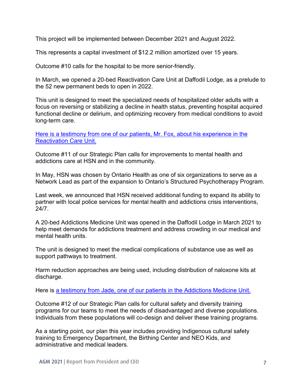This project will be implemented between December 2021 and August 2022.

This represents a capital investment of \$12.2 million amortized over 15 years.

Outcome #10 calls for the hospital to be more senior-friendly.

 the 52 new permanent beds to open in 2022. In March, we opened a 20-bed Reactivation Care Unit at Daffodil Lodge, as a prelude to

 This unit is designed to meet the specialized needs of hospitalized older adults with a functional decline or delirium, and optimizing recovery from medical conditions to avoid focus on reversing or stabilizing a decline in health status, preventing hospital acquired long-term care.

[Here is a testimony from one of our patients, Mr. Fox, about his experience in the](https://youtu.be/-kK1rWA6fEs)  [Reactivation Care Unit.](https://youtu.be/-kK1rWA6fEs) 

Outcome #11 of our Strategic Plan calls for improvements to mental health and addictions care at HSN and in the community.

In May, HSN was chosen by Ontario Health as one of six organizations to serve as a Network Lead as part of the expansion to Ontario's Structured Psychotherapy Program.

Last week, we announced that HSN received additional funding to expand its ability to partner with local police services for mental health and addictions crisis interventions, 24/7.

A 20-bed Addictions Medicine Unit was opened in the Daffodil Lodge in March 2021 to help meet demands for addictions treatment and address crowding in our medical and mental health units.

The unit is designed to meet the medical complications of substance use as well as support pathways to treatment.

 Harm reduction approaches are being used, including distribution of naloxone kits at discharge.

Here is <u>a testimony from Jade, one of our patients in the Addictions Medicine Unit.</u>

Outcome #12 of our Strategic Plan calls for cultural safety and diversity training programs for our teams to meet the needs of disadvantaged and diverse populations. Individuals from these populations will co-design and deliver these training programs.

 As a starting point, our plan this year includes providing Indigenous cultural safety training to Emergency Department, the Birthing Center and NEO Kids, and administrative and medical leaders.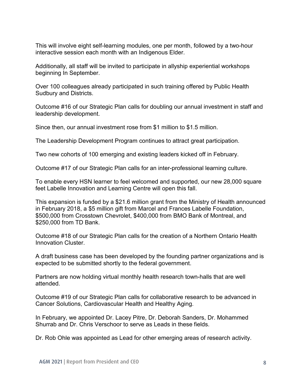This will involve eight self-learning modules, one per month, followed by a two-hour interactive session each month with an Indigenous Elder.

Additionally, all staff will be invited to participate in allyship experiential workshops beginning In September.

Over 100 colleagues already participated in such training offered by Public Health Sudbury and Districts.

Outcome #16 of our Strategic Plan calls for doubling our annual investment in staff and leadership development.

Since then, our annual investment rose from \$1 million to \$1.5 million.

The Leadership Development Program continues to attract great participation.

Two new cohorts of 100 emerging and existing leaders kicked off in February.

Outcome #17 of our Strategic Plan calls for an inter-professional learning culture.

To enable every HSN learner to feel welcomed and supported, our new 28,000 square feet Labelle Innovation and Learning Centre will open this fall.

This expansion is funded by a \$21.6 million grant from the Ministry of Health announced in February 2018, a \$5 million gift from Marcel and Frances Labelle Foundation, \$500,000 from Crosstown Chevrolet, \$400,000 from BMO Bank of Montreal, and \$250,000 from TD Bank.

Outcome #18 of our Strategic Plan calls for the creation of a Northern Ontario Health Innovation Cluster.

A draft business case has been developed by the founding partner organizations and is expected to be submitted shortly to the federal government.

Partners are now holding virtual monthly health research town-halls that are well attended.

Outcome #19 of our Strategic Plan calls for collaborative research to be advanced in Cancer Solutions, Cardiovascular Health and Healthy Aging.

In February, we appointed Dr. Lacey Pitre, Dr. Deborah Sanders, Dr. Mohammed Shurrab and Dr. Chris Verschoor to serve as Leads in these fields.

Dr. Rob Ohle was appointed as Lead for other emerging areas of research activity.